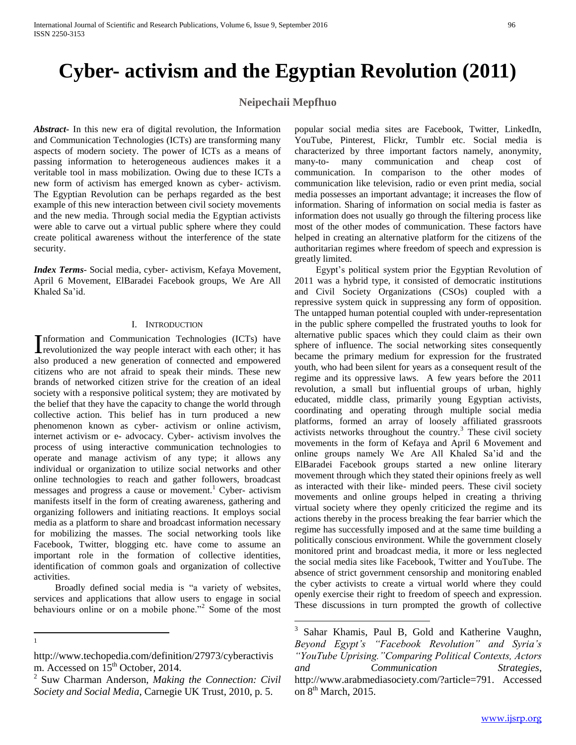## **Cyber- activism and the Egyptian Revolution (2011)**

## **Neipechaii Mepfhuo**

 $\overline{a}$ 

*Abstract***-** In this new era of digital revolution, the Information and Communication Technologies (ICTs) are transforming many aspects of modern society. The power of ICTs as a means of passing information to heterogeneous audiences makes it a veritable tool in mass mobilization. Owing due to these ICTs a new form of activism has emerged known as cyber- activism. The Egyptian Revolution can be perhaps regarded as the best example of this new interaction between civil society movements and the new media. Through social media the Egyptian activists were able to carve out a virtual public sphere where they could create political awareness without the interference of the state security.

*Index Terms*- Social media, cyber- activism, Kefaya Movement, April 6 Movement, ElBaradei Facebook groups, We Are All Khaled Sa'id.

## I. INTRODUCTION

nformation and Communication Technologies (ICTs) have Information and Communication Technologies (ICTs) have<br>revolutionized the way people interact with each other; it has also produced a new generation of connected and empowered citizens who are not afraid to speak their minds. These new brands of networked citizen strive for the creation of an ideal society with a responsive political system; they are motivated by the belief that they have the capacity to change the world through collective action. This belief has in turn produced a new phenomenon known as cyber- activism or online activism, internet activism or e- advocacy. Cyber- activism involves the process of using interactive communication technologies to operate and manage activism of any type; it allows any individual or organization to utilize social networks and other online technologies to reach and gather followers, broadcast messages and progress a cause or movement.<sup>1</sup> Cyber- activism manifests itself in the form of creating awareness, gathering and organizing followers and initiating reactions. It employs social media as a platform to share and broadcast information necessary for mobilizing the masses. The social networking tools like Facebook, Twitter, blogging etc. have come to assume an important role in the formation of collective identities, identification of common goals and organization of collective activities.

 Broadly defined social media is "a variety of websites, services and applications that allow users to engage in social behaviours online or on a mobile phone."<sup>2</sup> Some of the most

 $\frac{1}{1}$ 

popular social media sites are Facebook, Twitter, LinkedIn, YouTube, Pinterest, Flickr, Tumblr etc. Social media is characterized by three important factors namely, anonymity, many-to- many communication and cheap cost of communication. In comparison to the other modes of communication like television, radio or even print media, social media possesses an important advantage; it increases the flow of information. Sharing of information on social media is faster as information does not usually go through the filtering process like most of the other modes of communication. These factors have helped in creating an alternative platform for the citizens of the authoritarian regimes where freedom of speech and expression is greatly limited.

 Egypt's political system prior the Egyptian Revolution of 2011 was a hybrid type, it consisted of democratic institutions and Civil Society Organizations (CSOs) coupled with a repressive system quick in suppressing any form of opposition. The untapped human potential coupled with under-representation in the public sphere compelled the frustrated youths to look for alternative public spaces which they could claim as their own sphere of influence. The social networking sites consequently became the primary medium for expression for the frustrated youth, who had been silent for years as a consequent result of the regime and its oppressive laws. A few years before the 2011 revolution, a small but influential groups of urban, highly educated, middle class, primarily young Egyptian activists, coordinating and operating through multiple social media platforms, formed an array of loosely affiliated grassroots activists networks throughout the country.<sup>3</sup> These civil society movements in the form of Kefaya and April 6 Movement and online groups namely We Are All Khaled Sa'id and the ElBaradei Facebook groups started a new online literary movement through which they stated their opinions freely as well as interacted with their like- minded peers. These civil society movements and online groups helped in creating a thriving virtual society where they openly criticized the regime and its actions thereby in the process breaking the fear barrier which the regime has successfully imposed and at the same time building a politically conscious environment. While the government closely monitored print and broadcast media, it more or less neglected the social media sites like Facebook, Twitter and YouTube. The absence of strict government censorship and monitoring enabled the cyber activists to create a virtual world where they could openly exercise their right to freedom of speech and expression. These discussions in turn prompted the growth of collective

http://www.techopedia.com/definition/27973/cyberactivis m. Accessed on  $15<sup>th</sup>$  October, 2014.

<sup>2</sup> Suw Charman Anderson, *Making the Connection: Civil Society and Social Media*, Carnegie UK Trust, 2010, p. 5.

<sup>3</sup> Sahar Khamis, Paul B, Gold and Katherine Vaughn, *Beyond Egypt's "Facebook Revolution" and Syria's "YouTube Uprising."Comparing Political Contexts, Actors and Communication Strategies*, http://www.arabmediasociety.com/?article=791. Accessed on  $8<sup>th</sup>$  March, 2015.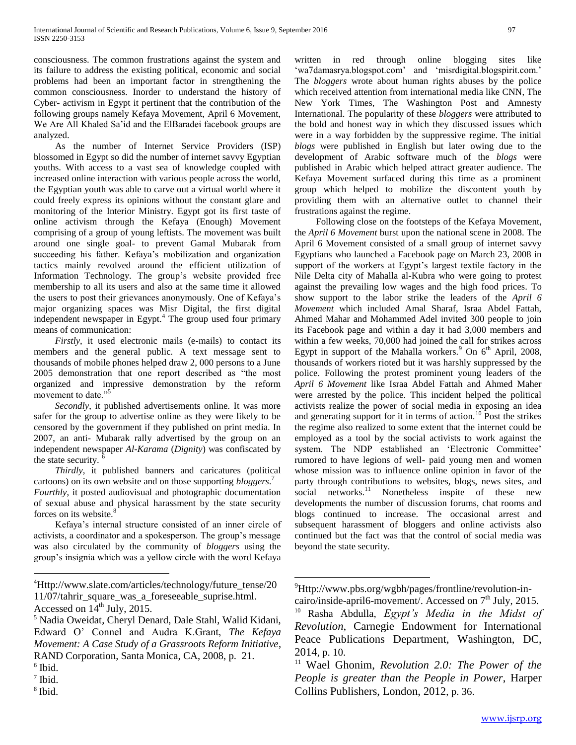consciousness. The common frustrations against the system and its failure to address the existing political, economic and social problems had been an important factor in strengthening the common consciousness. Inorder to understand the history of Cyber- activism in Egypt it pertinent that the contribution of the following groups namely Kefaya Movement, April 6 Movement, We Are All Khaled Sa'id and the ElBaradei facebook groups are analyzed.

 As the number of Internet Service Providers (ISP) blossomed in Egypt so did the number of internet savvy Egyptian youths. With access to a vast sea of knowledge coupled with increased online interaction with various people across the world, the Egyptian youth was able to carve out a virtual world where it could freely express its opinions without the constant glare and monitoring of the Interior Ministry. Egypt got its first taste of online activism through the Kefaya (Enough) Movement comprising of a group of young leftists. The movement was built around one single goal- to prevent Gamal Mubarak from succeeding his father. Kefaya's mobilization and organization tactics mainly revolved around the efficient utilization of Information Technology. The group's website provided free membership to all its users and also at the same time it allowed the users to post their grievances anonymously. One of Kefaya's major organizing spaces was Misr Digital, the first digital independent newspaper in Egypt. $4$  The group used four primary means of communication:

 *Firstly*, it used electronic mails (e-mails) to contact its members and the general public. A text message sent to thousands of mobile phones helped draw 2, 000 persons to a June 2005 demonstration that one report described as "the most organized and impressive demonstration by the reform movement to date."<sup>5</sup>

 *Secondly*, it published advertisements online. It was more safer for the group to advertise online as they were likely to be censored by the government if they published on print media. In 2007, an anti- Mubarak rally advertised by the group on an independent newspaper *Al-Karama* (*Dignity*) was confiscated by the state security.  $<sup>6</sup>$ </sup>

 *Thirdly*, it published banners and caricatures (political cartoons) on its own website and on those supporting *bloggers*. 7

*Fourthly*, it posted audiovisual and photographic documentation of sexual abuse and physical harassment by the state security forces on its website. $\delta$ 

 Kefaya's internal structure consisted of an inner circle of activists, a coordinator and a spokesperson. The group's message was also circulated by the community of *bloggers* using the group's insignia which was a yellow circle with the word Kefaya

 $\overline{a}$ 

8 Ibid.

written in red through online blogging sites like 'wa7damasrya.blogspot.com' and 'misrdigital.blogspirit.com.' The *bloggers* wrote about human rights abuses by the police which received attention from international media like CNN, The New York Times, The Washington Post and Amnesty International. The popularity of these *bloggers* were attributed to the bold and honest way in which they discussed issues which were in a way forbidden by the suppressive regime. The initial *blogs* were published in English but later owing due to the development of Arabic software much of the *blogs* were published in Arabic which helped attract greater audience. The Kefaya Movement surfaced during this time as a prominent group which helped to mobilize the discontent youth by providing them with an alternative outlet to channel their frustrations against the regime.

 Following close on the footsteps of the Kefaya Movement, the *April 6 Movement* burst upon the national scene in 2008. The April 6 Movement consisted of a small group of internet savvy Egyptians who launched a Facebook page on March 23, 2008 in support of the workers at Egypt's largest textile factory in the Nile Delta city of Mahalla al-Kubra who were going to protest against the prevailing low wages and the high food prices. To show support to the labor strike the leaders of the *April 6 Movement* which included Amal Sharaf, Israa Abdel Fattah, Ahmed Mahar and Mohammed Adel invited 300 people to join its Facebook page and within a day it had 3,000 members and within a few weeks, 70,000 had joined the call for strikes across Egypt in support of the Mahalla workers.<sup>9</sup> On  $6<sup>th</sup>$  April, 2008, thousands of workers rioted but it was harshly suppressed by the police. Following the protest prominent young leaders of the *April 6 Movement* like Israa Abdel Fattah and Ahmed Maher were arrested by the police. This incident helped the political activists realize the power of social media in exposing an idea and generating support for it in terms of action.<sup>10</sup> Post the strikes the regime also realized to some extent that the internet could be employed as a tool by the social activists to work against the system. The NDP established an 'Electronic Committee' rumored to have legions of well- paid young men and women whose mission was to influence online opinion in favor of the party through contributions to websites, blogs, news sites, and social networks.<sup>11</sup> Nonetheless inspite of these new developments the number of discussion forums, chat rooms and blogs continued to increase. The occasional arrest and subsequent harassment of bloggers and online activists also continued but the fact was that the control of social media was beyond the state security.

 $\overline{a}$ 

<sup>4</sup>Http://www.slate.com/articles/technology/future\_tense/20 11/07/tahrir\_square\_was\_a\_foreseeable\_suprise.html. Accessed on  $14<sup>th</sup>$  July, 2015.

<sup>5</sup> Nadia Oweidat, Cheryl Denard, Dale Stahl, Walid Kidani,

Edward O' Connel and Audra K.Grant, *The Kefaya Movement: A Case Study of a Grassroots Reform Initiative*, RAND Corporation, Santa Monica, CA, 2008, p. 21.

<sup>6</sup> Ibid.

<sup>7</sup> Ibid.

<sup>9</sup>Http://www.pbs.org/wgbh/pages/frontline/revolution-incairo/inside-april6-movement/. Accessed on 7<sup>th</sup> July, 2015.

<sup>10</sup> Rasha Abdulla, *Egypt's Media in the Midst of Revolution*, Carnegie Endowment for International Peace Publications Department, Washington, DC, 2014, p. 10.

<sup>11</sup> Wael Ghonim, *Revolution 2.0: The Power of the People is greater than the People in Power*, Harper Collins Publishers, London, 2012, p. 36.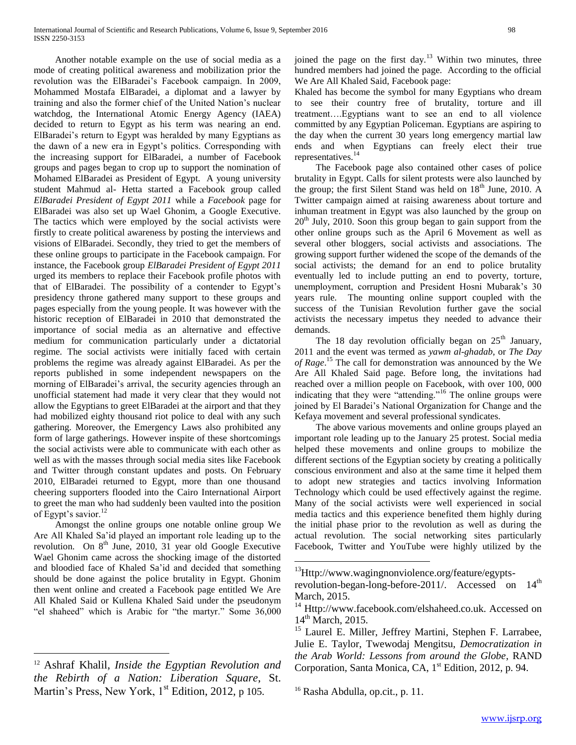Another notable example on the use of social media as a mode of creating political awareness and mobilization prior the revolution was the ElBaradei's Facebook campaign. In 2009, Mohammed Mostafa ElBaradei, a diplomat and a lawyer by training and also the former chief of the United Nation's nuclear watchdog, the International Atomic Energy Agency (IAEA) decided to return to Egypt as his term was nearing an end. ElBaradei's return to Egypt was heralded by many Egyptians as the dawn of a new era in Egypt's politics. Corresponding with the increasing support for ElBaradei, a number of Facebook groups and pages began to crop up to support the nomination of Mohamed ElBaradei as President of Egypt. A young university student Mahmud al- Hetta started a Facebook group called *ElBaradei President of Egypt 2011* while a *Facebook* page for ElBaradei was also set up Wael Ghonim, a Google Executive. The tactics which were employed by the social activists were firstly to create political awareness by posting the interviews and visions of ElBaradei. Secondly, they tried to get the members of these online groups to participate in the Facebook campaign. For instance, the Facebook group *ElBaradei President of Egypt 2011* urged its members to replace their Facebook profile photos with that of ElBaradei. The possibility of a contender to Egypt's presidency throne gathered many support to these groups and pages especially from the young people. It was however with the historic reception of ElBaradei in 2010 that demonstrated the importance of social media as an alternative and effective medium for communication particularly under a dictatorial regime. The social activists were initially faced with certain problems the regime was already against ElBaradei. As per the reports published in some independent newspapers on the morning of ElBaradei's arrival, the security agencies through an unofficial statement had made it very clear that they would not allow the Egyptians to greet ElBaradei at the airport and that they had mobilized eighty thousand riot police to deal with any such gathering. Moreover, the Emergency Laws also prohibited any form of large gatherings. However inspite of these shortcomings the social activists were able to communicate with each other as well as with the masses through social media sites like Facebook and Twitter through constant updates and posts. On February 2010, ElBaradei returned to Egypt, more than one thousand cheering supporters flooded into the Cairo International Airport to greet the man who had suddenly been vaulted into the position of Egypt's savior.<sup>12</sup>

 Amongst the online groups one notable online group We Are All Khaled Sa'id played an important role leading up to the revolution. On  $8<sup>th</sup>$  June, 2010, 31 year old Google Executive Wael Ghonim came across the shocking image of the distorted and bloodied face of Khaled Sa'id and decided that something should be done against the police brutality in Egypt. Ghonim then went online and created a Facebook page entitled We Are All Khaled Said or Kullena Khaled Said under the pseudonym "el shaheed" which is Arabic for "the martyr." Some 36,000

 $\overline{a}$ 

joined the page on the first day.<sup>13</sup> Within two minutes, three hundred members had joined the page. According to the official We Are All Khaled Said, Facebook page:

Khaled has become the symbol for many Egyptians who dream to see their country free of brutality, torture and ill treatment….Egyptians want to see an end to all violence committed by any Egyptian Policeman. Egyptians are aspiring to the day when the current 30 years long emergency martial law ends and when Egyptians can freely elect their true representatives.<sup>14</sup>

 The Facebook page also contained other cases of police brutality in Egypt. Calls for silent protests were also launched by the group; the first Silent Stand was held on  $18<sup>th</sup>$  June, 2010. A Twitter campaign aimed at raising awareness about torture and inhuman treatment in Egypt was also launched by the group on  $20<sup>th</sup>$  July, 2010. Soon this group began to gain support from the other online groups such as the April 6 Movement as well as several other bloggers, social activists and associations. The growing support further widened the scope of the demands of the social activists; the demand for an end to police brutality eventually led to include putting an end to poverty, torture, unemployment, corruption and President Hosni Mubarak's 30 years rule. The mounting online support coupled with the success of the Tunisian Revolution further gave the social activists the necessary impetus they needed to advance their demands.

The 18 day revolution officially began on  $25<sup>th</sup>$  January, 2011 and the event was termed as *yawm al-ghadab*, or *The Day of Rage*. <sup>15</sup> The call for demonstration was announced by the We Are All Khaled Said page. Before long, the invitations had reached over a million people on Facebook, with over 100, 000 indicating that they were "attending."<sup>16</sup> The online groups were joined by El Baradei's National Organization for Change and the Kefaya movement and several professional syndicates.

 The above various movements and online groups played an important role leading up to the January 25 protest. Social media helped these movements and online groups to mobilize the different sections of the Egyptian society by creating a politically conscious environment and also at the same time it helped them to adopt new strategies and tactics involving Information Technology which could be used effectively against the regime. Many of the social activists were well experienced in social media tactics and this experience benefited them highly during the initial phase prior to the revolution as well as during the actual revolution. The social networking sites particularly Facebook, Twitter and YouTube were highly utilized by the

 $\overline{a}$ 

<sup>12</sup> Ashraf Khalil, *Inside the Egyptian Revolution and the Rebirth of a Nation: Liberation Square*, St. Martin's Press, New York,  $1<sup>st</sup>$  Edition, 2012, p 105.

<sup>&</sup>lt;sup>13</sup>Http://www.wagingnonviolence.org/feature/egypts-

revolution-began-long-before-2011/. Accessed on 14<sup>th</sup> March, 2015.

 $14$  Http://www.facebook.com/elshaheed.co.uk. Accessed on  $14<sup>th</sup>$  March, 2015.

<sup>&</sup>lt;sup>15</sup> Laurel E. Miller, Jeffrey Martini, Stephen F. Larrabee, Julie E. Taylor, Twewodaj Mengitsu, *Democratization in the Arab World: Lessons from around the Globe*, RAND Corporation, Santa Monica, CA, 1<sup>st</sup> Edition, 2012, p. 94.

<sup>&</sup>lt;sup>16</sup> Rasha Abdulla, op.cit., p. 11.